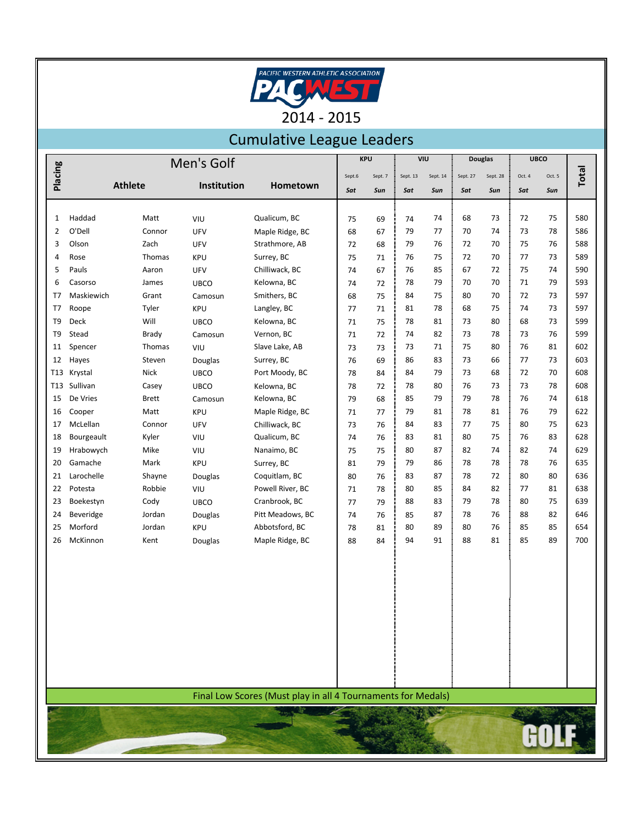

## Cumulative League Leaders

|                | Men's Golf |                |             |                                                              | <b>KPU</b> |         | VIU      |          | <b>Douglas</b> |          | <b>UBCO</b> |        |              |
|----------------|------------|----------------|-------------|--------------------------------------------------------------|------------|---------|----------|----------|----------------|----------|-------------|--------|--------------|
| Placing        |            |                |             |                                                              | Sept.6     | Sept. 7 | Sept. 13 | Sept. 14 | Sept. 27       | Sept. 28 | Oct. 4      | Oct. 5 | <b>Total</b> |
|                |            | <b>Athlete</b> | Institution | Hometown                                                     | Sat        | Sun     | Sat      | Sun      | Sat            | Sun      | Sat         | Sun    |              |
|                |            |                |             |                                                              |            |         |          |          |                |          |             |        |              |
| 1              | Haddad     | Matt           | VIU         | Qualicum, BC                                                 | 75         | 69      | 74       | 74       | 68             | 73       | 72          | 75     | 580          |
| $\overline{2}$ | O'Dell     | Connor         | UFV         | Maple Ridge, BC                                              | 68         | 67      | 79       | 77       | 70             | 74       | 73          | 78     | 586          |
| 3              | Olson      | Zach           | UFV         | Strathmore, AB                                               | 72         | 68      | 79       | 76       | 72             | 70       | 75          | 76     | 588          |
| 4              | Rose       | Thomas         | <b>KPU</b>  | Surrey, BC                                                   | 75         | 71      | 76       | 75       | 72             | 70       | 77          | 73     | 589          |
| 5              | Pauls      | Aaron          | UFV         | Chilliwack, BC                                               | 74         | 67      | 76       | 85       | 67             | 72       | 75          | 74     | 590          |
| 6              | Casorso    | James          | <b>UBCO</b> | Kelowna, BC                                                  | 74         | 72      | 78       | 79       | 70             | 70       | 71          | 79     | 593          |
| T7             | Maskiewich | Grant          | Camosun     | Smithers, BC                                                 | 68         | 75      | 84       | 75       | 80             | 70       | 72          | 73     | 597          |
| T7             | Roope      | Tyler          | <b>KPU</b>  | Langley, BC                                                  | 77         | 71      | 81       | 78       | 68             | 75       | 74          | 73     | 597          |
| T <sub>9</sub> | Deck       | Will           | <b>UBCO</b> | Kelowna, BC                                                  | 71         | 75      | 78       | 81       | 73             | 80       | 68          | 73     | 599          |
| T9             | Stead      | <b>Brady</b>   | Camosun     | Vernon, BC                                                   | 71         | 72      | 74       | 82       | 73             | 78       | 73          | 76     | 599          |
| 11             | Spencer    | Thomas         | VIU         | Slave Lake, AB                                               | 73         | 73      | 73       | 71       | 75             | 80       | 76          | 81     | 602          |
| 12             | Hayes      | Steven         | Douglas     | Surrey, BC                                                   | 76         | 69      | 86       | 83       | 73             | 66       | 77          | 73     | 603          |
| T13            | Krystal    | <b>Nick</b>    | <b>UBCO</b> | Port Moody, BC                                               | 78         | 84      | 84       | 79       | 73             | 68       | 72          | 70     | 608          |
| T13            | Sullivan   | Casey          | <b>UBCO</b> | Kelowna, BC                                                  | 78         | 72      | 78       | 80       | 76             | 73       | 73          | 78     | 608          |
| 15             | De Vries   | <b>Brett</b>   | Camosun     | Kelowna, BC                                                  | 79         | 68      | 85       | 79       | 79             | 78       | 76          | 74     | 618          |
| 16             | Cooper     | Matt           | KPU         | Maple Ridge, BC                                              | 71         | 77      | 79       | 81       | 78             | 81       | 76          | 79     | 622          |
| 17             | McLellan   | Connor         | UFV         | Chilliwack, BC                                               | 73         | 76      | 84       | 83       | 77             | 75       | 80          | 75     | 623          |
| 18             | Bourgeault | Kyler          | VIU         | Qualicum, BC                                                 | 74         | 76      | 83       | 81       | 80             | 75       | 76          | 83     | 628          |
| 19             | Hrabowych  | Mike           | VIU         | Nanaimo, BC                                                  | 75         | 75      | 80       | 87       | 82             | 74       | 82          | 74     | 629          |
| 20             | Gamache    | Mark           | <b>KPU</b>  | Surrey, BC                                                   | 81         | 79      | 79       | 86       | 78             | 78       | 78          | 76     | 635          |
| 21             | Larochelle | Shayne         | Douglas     | Coquitlam, BC                                                | 80         | 76      | 83       | 87       | 78             | 72       | 80          | 80     | 636          |
| 22             | Potesta    | Robbie         | VIU         | Powell River, BC                                             | 71         | 78      | 80       | 85       | 84             | 82       | 77          | 81     | 638          |
| 23             | Boekestyn  | Cody           | <b>UBCO</b> | Cranbrook, BC                                                | 77         | 79      | 88       | 83       | 79             | 78       | 80          | 75     | 639          |
| 24             | Beveridge  | Jordan         | Douglas     | Pitt Meadows, BC                                             | 74         | 76      | 85       | 87       | 78             | 76       | 88          | 82     | 646          |
| 25             | Morford    | Jordan         | <b>KPU</b>  | Abbotsford, BC                                               | 78         | 81      | 80       | 89       | 80             | 76       | 85          | 85     | 654          |
| 26             | McKinnon   | Kent           | Douglas     | Maple Ridge, BC                                              | 88         | 84      | 94       | 91       | 88             | 81       | 85          | 89     | 700          |
|                |            |                |             |                                                              |            |         |          |          |                |          |             |        |              |
|                |            |                |             |                                                              |            |         |          |          |                |          |             |        |              |
|                |            |                |             |                                                              |            |         |          |          |                |          |             |        |              |
|                |            |                |             |                                                              |            |         |          |          |                |          |             |        |              |
|                |            |                |             |                                                              |            |         |          |          |                |          |             |        |              |
|                |            |                |             |                                                              |            |         |          |          |                |          |             |        |              |
|                |            |                |             |                                                              |            |         |          |          |                |          |             |        |              |
|                |            |                |             |                                                              |            |         |          |          |                |          |             |        |              |
|                |            |                |             |                                                              |            |         |          |          |                |          |             |        |              |
|                |            |                |             |                                                              |            |         |          |          |                |          |             |        |              |
|                |            |                |             |                                                              |            |         |          |          |                |          |             |        |              |
|                |            |                |             | Final Low Scores (Must play in all 4 Tournaments for Medals) |            |         |          |          |                |          |             |        |              |

GOL